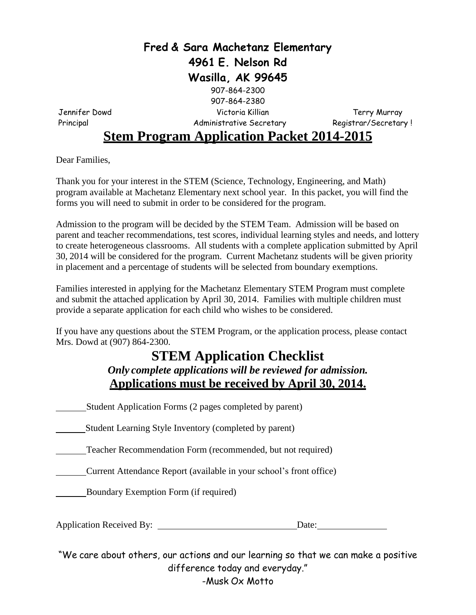### **Fred & Sara Machetanz Elementary 4961 E. Nelson Rd Wasilla, AK 99645**

907-864-2380 Jennifer Dowd Victoria Killian Terry Murray

907-864-2300

Principal Magnetic Administrative Secretary Registrar/Secretary !

### **Stem Program Application Packet 2014-2015**

Dear Families,

Thank you for your interest in the STEM (Science, Technology, Engineering, and Math) program available at Machetanz Elementary next school year. In this packet, you will find the forms you will need to submit in order to be considered for the program.

Admission to the program will be decided by the STEM Team. Admission will be based on parent and teacher recommendations, test scores, individual learning styles and needs, and lottery to create heterogeneous classrooms. All students with a complete application submitted by April 30, 2014 will be considered for the program. Current Machetanz students will be given priority in placement and a percentage of students will be selected from boundary exemptions.

Families interested in applying for the Machetanz Elementary STEM Program must complete and submit the attached application by April 30, 2014. Families with multiple children must provide a separate application for each child who wishes to be considered.

If you have any questions about the STEM Program, or the application process, please contact Mrs. Dowd at (907) 864-2300.

### **STEM Application Checklist** *Only complete applications will be reviewed for admission.* **Applications must be received by April 30, 2014.**

Student Application Forms (2 pages completed by parent)

**Student Learning Style Inventory (completed by parent)** 

Teacher Recommendation Form (recommended, but not required)

Current Attendance Report (available in your school's front office)

Boundary Exemption Form (if required)

Application Received By: Date:

"We care about others, our actions and our learning so that we can make a positive difference today and everyday." -Musk Ox Motto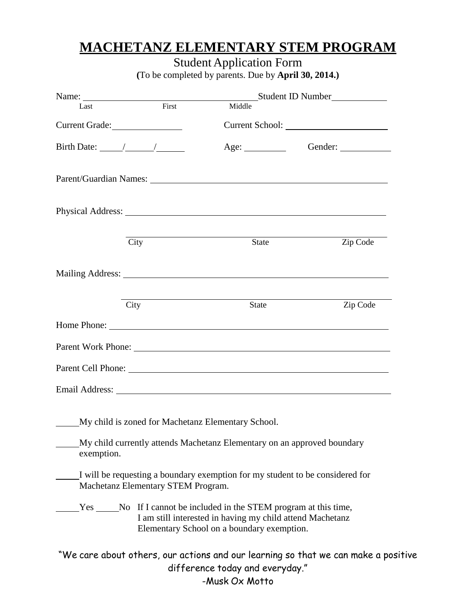# **MACHETANZ ELEMENTARY STEM PROGRAM**

## Student Application Form

**(**To be completed by parents. Due by **April 30, 2014.)**

|                                                                                                                                                                                                                                                                                                                                                                                                                     |                                    | Student ID Number                                                                                                                                                                                                              |                                                                                    |  |  |  |
|---------------------------------------------------------------------------------------------------------------------------------------------------------------------------------------------------------------------------------------------------------------------------------------------------------------------------------------------------------------------------------------------------------------------|------------------------------------|--------------------------------------------------------------------------------------------------------------------------------------------------------------------------------------------------------------------------------|------------------------------------------------------------------------------------|--|--|--|
| Last                                                                                                                                                                                                                                                                                                                                                                                                                | First                              | Middle                                                                                                                                                                                                                         |                                                                                    |  |  |  |
| Current Grade:                                                                                                                                                                                                                                                                                                                                                                                                      |                                    |                                                                                                                                                                                                                                |                                                                                    |  |  |  |
| Birth Date: $\frac{1}{\sqrt{1-\frac{1}{2}}}\frac{1}{\sqrt{1-\frac{1}{2}}}\frac{1}{\sqrt{1-\frac{1}{2}}}\frac{1}{\sqrt{1-\frac{1}{2}}}\frac{1}{\sqrt{1-\frac{1}{2}}}\frac{1}{\sqrt{1-\frac{1}{2}}}\frac{1}{\sqrt{1-\frac{1}{2}}}\frac{1}{\sqrt{1-\frac{1}{2}}}\frac{1}{\sqrt{1-\frac{1}{2}}}\frac{1}{\sqrt{1-\frac{1}{2}}}\frac{1}{\sqrt{1-\frac{1}{2}}}\frac{1}{\sqrt{1-\frac{1}{2}}}\frac{1}{\sqrt{1-\frac{1}{2}}$ |                                    | Age:                                                                                                                                                                                                                           | Gender:                                                                            |  |  |  |
|                                                                                                                                                                                                                                                                                                                                                                                                                     |                                    | Parent/Guardian Names: 2008 and 2008 and 2008 and 2008 and 2008 and 2008 and 2008 and 2008 and 2008 and 2008 and 2008 and 2008 and 2008 and 2008 and 2008 and 2008 and 2008 and 2008 and 2008 and 2008 and 2008 and 2008 and 2 |                                                                                    |  |  |  |
|                                                                                                                                                                                                                                                                                                                                                                                                                     |                                    |                                                                                                                                                                                                                                |                                                                                    |  |  |  |
|                                                                                                                                                                                                                                                                                                                                                                                                                     | City                               | State                                                                                                                                                                                                                          | Zip Code                                                                           |  |  |  |
|                                                                                                                                                                                                                                                                                                                                                                                                                     |                                    |                                                                                                                                                                                                                                |                                                                                    |  |  |  |
|                                                                                                                                                                                                                                                                                                                                                                                                                     | City                               | State                                                                                                                                                                                                                          | Zip Code                                                                           |  |  |  |
|                                                                                                                                                                                                                                                                                                                                                                                                                     |                                    |                                                                                                                                                                                                                                |                                                                                    |  |  |  |
|                                                                                                                                                                                                                                                                                                                                                                                                                     |                                    |                                                                                                                                                                                                                                |                                                                                    |  |  |  |
|                                                                                                                                                                                                                                                                                                                                                                                                                     |                                    |                                                                                                                                                                                                                                |                                                                                    |  |  |  |
|                                                                                                                                                                                                                                                                                                                                                                                                                     |                                    |                                                                                                                                                                                                                                |                                                                                    |  |  |  |
|                                                                                                                                                                                                                                                                                                                                                                                                                     |                                    | My child is zoned for Machetanz Elementary School.                                                                                                                                                                             |                                                                                    |  |  |  |
| exemption.                                                                                                                                                                                                                                                                                                                                                                                                          |                                    | My child currently attends Machetanz Elementary on an approved boundary                                                                                                                                                        |                                                                                    |  |  |  |
|                                                                                                                                                                                                                                                                                                                                                                                                                     | Machetanz Elementary STEM Program. | I will be requesting a boundary exemption for my student to be considered for                                                                                                                                                  |                                                                                    |  |  |  |
|                                                                                                                                                                                                                                                                                                                                                                                                                     |                                    | Yes ________No If I cannot be included in the STEM program at this time,<br>I am still interested in having my child attend Machetanz<br>Elementary School on a boundary exemption.                                            |                                                                                    |  |  |  |
|                                                                                                                                                                                                                                                                                                                                                                                                                     |                                    | difference today and everyday."<br>-Musk Ox Motto                                                                                                                                                                              | "We care about others, our actions and our learning so that we can make a positive |  |  |  |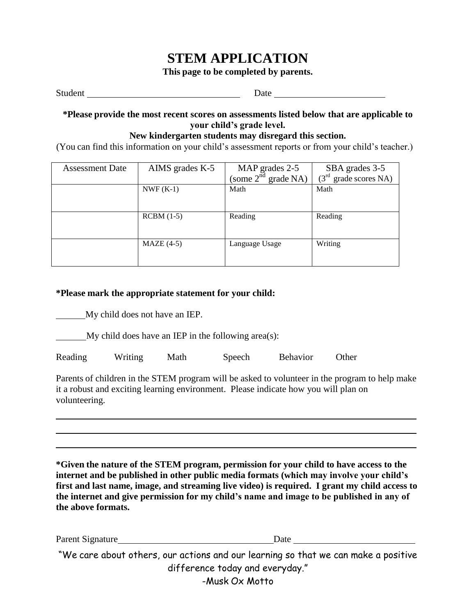### **STEM APPLICATION**

**This page to be completed by parents.**

Student Date Date

#### **\*Please provide the most recent scores on assessments listed below that are applicable to your child's grade level.**

### **New kindergarten students may disregard this section.**

(You can find this information on your child's assessment reports or from your child's teacher.)

| <b>Assessment Date</b> | AIMS grades K-5 | MAP grades 2-5           | SBA grades 3-5                  |  |
|------------------------|-----------------|--------------------------|---------------------------------|--|
|                        |                 | (some $2^{nd}$ grade NA) | $(3rd \text{ grade scores NA})$ |  |
|                        | $NWF(K-1)$      | Math                     | Math                            |  |
|                        |                 |                          |                                 |  |
|                        |                 |                          |                                 |  |
|                        | $RCBM(1-5)$     | Reading                  | Reading                         |  |
|                        |                 |                          |                                 |  |
|                        | $MAZE(4-5)$     | Language Usage           | Writing                         |  |
|                        |                 |                          |                                 |  |
|                        |                 |                          |                                 |  |

### **\*Please mark the appropriate statement for your child:**

My child does not have an IEP.

 $\frac{M_y}{M}$  child does have an IEP in the following area(s):

Reading Writing Math Speech Behavior Other

Parents of children in the STEM program will be asked to volunteer in the program to help make it a robust and exciting learning environment. Please indicate how you will plan on volunteering.

**\*Given the nature of the STEM program, permission for your child to have access to the internet and be published in other public media formats (which may involve your child's first and last name, image, and streaming live video) is required. I grant my child access to the internet and give permission for my child's name and image to be published in any of the above formats.**

Parent Signature Date Date

"We care about others, our actions and our learning so that we can make a positive difference today and everyday." -Musk Ox Motto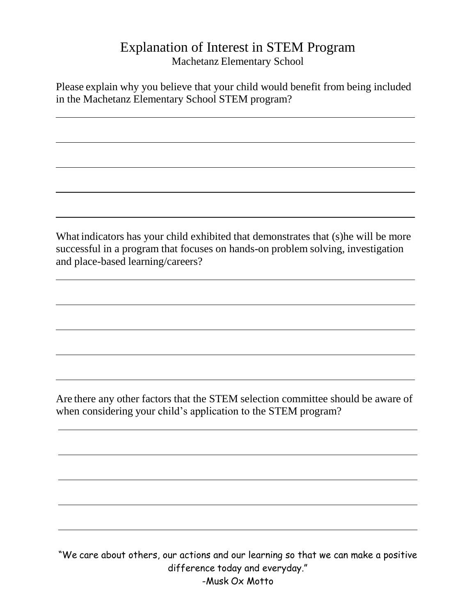### Explanation of Interest in STEM Program Machetanz Elementary School

Please explain why you believe that your child would benefit from being included in the Machetanz Elementary School STEM program?

What indicators has your child exhibited that demonstrates that (s)he will be more successful in a program that focuses on hands-on problem solving, investigation and place-based learning/careers?

Are there any other factors that the STEM selection committee should be aware of when considering your child's application to the STEM program?

"We care about others, our actions and our learning so that we can make a positive difference today and everyday." -Musk Ox Motto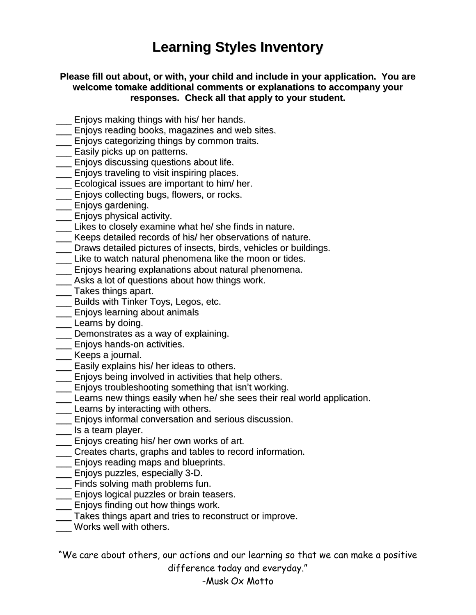# **Learning Styles Inventory**

### **Please fill out about, or with, your child and include in your application. You are welcome tomake additional comments or explanations to accompany your responses. Check all that apply to your student.**

- \_\_\_ Enjoys making things with his/ her hands.
- **\_\_\_** Enjoys reading books, magazines and web sites.
- \_\_\_ Enjoys categorizing things by common traits.
- **\_\_\_** Easily picks up on patterns.
- \_\_\_ Enjoys discussing questions about life.
- \_\_\_ Enjoys traveling to visit inspiring places.
- \_\_\_ Ecological issues are important to him/ her.
- \_\_\_ Enjoys collecting bugs, flowers, or rocks.
- \_\_\_ Enjoys gardening.
- \_\_\_ Enjoys physical activity.
- \_\_\_ Likes to closely examine what he/ she finds in nature.
- \_\_\_ Keeps detailed records of his/ her observations of nature.
- \_\_\_ Draws detailed pictures of insects, birds, vehicles or buildings.
- \_\_\_ Like to watch natural phenomena like the moon or tides.
- \_\_\_ Enjoys hearing explanations about natural phenomena.
- \_\_\_ Asks a lot of questions about how things work.
- \_\_\_ Takes things apart.
- \_\_\_ Builds with Tinker Toys, Legos, etc.
- **LENS** Enjoys learning about animals
- \_\_ Learns by doing.
- \_\_\_ Demonstrates as a way of explaining.
- **\_\_\_** Enjoys hands-on activities.
- \_\_\_ Keeps a journal.
- **Easily explains his/ her ideas to others.**
- \_\_\_ Enjoys being involved in activities that help others.
- **\_\_\_** Enjoys troubleshooting something that isn't working.
- \_\_\_ Learns new things easily when he/ she sees their real world application.
- **Learns by interacting with others.**
- \_\_\_ Enjoys informal conversation and serious discussion.
- \_\_\_ Is a team player.
- \_\_\_ Enjoys creating his/ her own works of art.
- \_\_\_ Creates charts, graphs and tables to record information.
- \_\_\_ Enjoys reading maps and blueprints.
- \_\_\_ Enjoys puzzles, especially 3-D.
- \_\_\_ Finds solving math problems fun.
- \_\_\_ Enjoys logical puzzles or brain teasers.
- \_\_\_ Enjoys finding out how things work.
- \_\_\_ Takes things apart and tries to reconstruct or improve.
- Works well with others.

"We care about others, our actions and our learning so that we can make a positive difference today and everyday."

-Musk Ox Motto